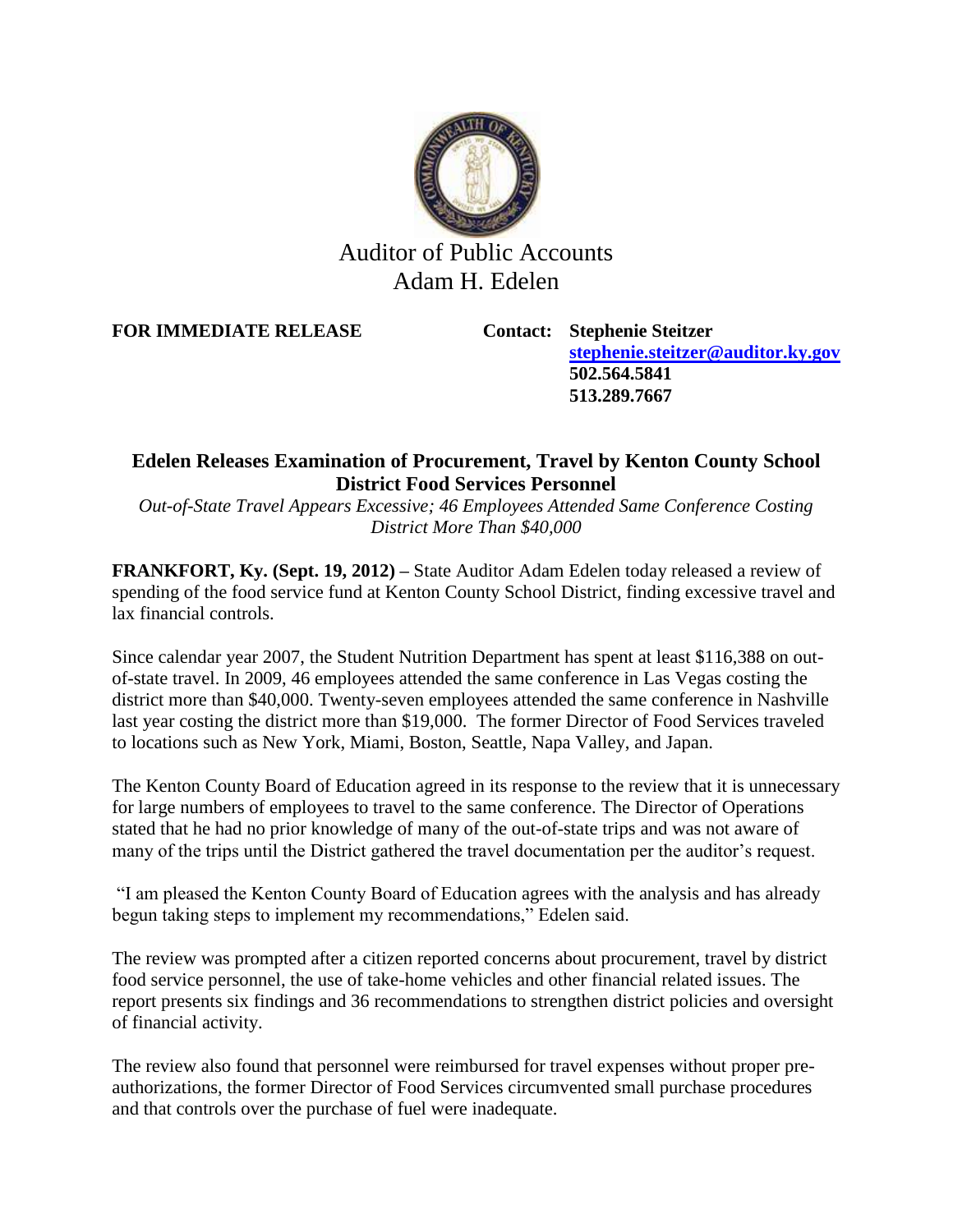

## Auditor of Public Accounts Adam H. Edelen

**FOR IMMEDIATE RELEASE Contact: Stephenie Steitzer**

**[stephenie.steitzer@auditor.ky.gov](mailto:stephenie.steitzer@auditor.ky.gov) 502.564.5841 513.289.7667**

## **Edelen Releases Examination of Procurement, Travel by Kenton County School District Food Services Personnel**

*Out-of-State Travel Appears Excessive; 46 Employees Attended Same Conference Costing District More Than \$40,000*

**FRANKFORT, Ky. (Sept. 19, 2012) –** State Auditor Adam Edelen today released a review of spending of the food service fund at Kenton County School District, finding excessive travel and lax financial controls.

Since calendar year 2007, the Student Nutrition Department has spent at least \$116,388 on outof-state travel. In 2009, 46 employees attended the same conference in Las Vegas costing the district more than \$40,000. Twenty-seven employees attended the same conference in Nashville last year costing the district more than \$19,000. The former Director of Food Services traveled to locations such as New York, Miami, Boston, Seattle, Napa Valley, and Japan.

The Kenton County Board of Education agreed in its response to the review that it is unnecessary for large numbers of employees to travel to the same conference. The Director of Operations stated that he had no prior knowledge of many of the out-of-state trips and was not aware of many of the trips until the District gathered the travel documentation per the auditor's request.

"I am pleased the Kenton County Board of Education agrees with the analysis and has already begun taking steps to implement my recommendations," Edelen said.

The review was prompted after a citizen reported concerns about procurement, travel by district food service personnel, the use of take-home vehicles and other financial related issues. The report presents six findings and 36 recommendations to strengthen district policies and oversight of financial activity.

The review also found that personnel were reimbursed for travel expenses without proper preauthorizations, the former Director of Food Services circumvented small purchase procedures and that controls over the purchase of fuel were inadequate.